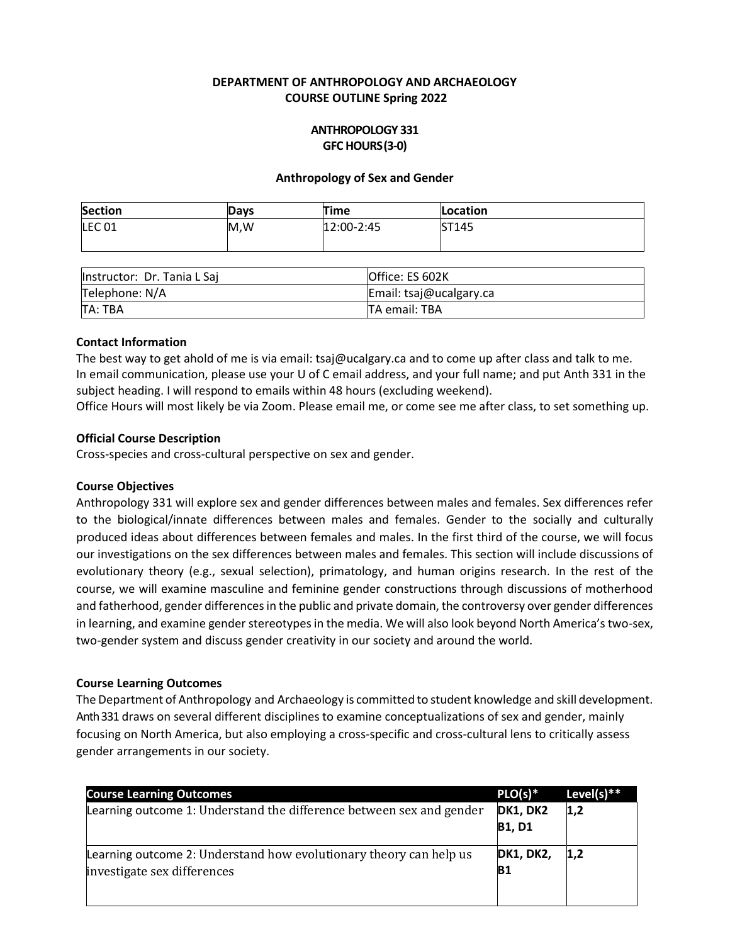## **DEPARTMENT OF ANTHROPOLOGY AND ARCHAEOLOGY COURSE OUTLINE Spring 2022**

## **ANTHROPOLOGY 331 GFC HOURS(3-0)**

#### **Anthropology of Sex and Gender**

| <b>Section</b>    | Davs | Time       | Location |
|-------------------|------|------------|----------|
| LEC <sub>01</sub> | M,W  | 12:00-2:45 | ST145    |
|                   |      |            |          |

| llnstructor: Dr. Tania L Sai | Office: ES 602K         |  |
|------------------------------|-------------------------|--|
| Telephone: N/A               | Email: tsaj@ucalgary.ca |  |
| TA: TBA                      | TA email: TBA           |  |

#### **Contact Information**

The best way to get ahold of me is via email: [tsaj@ucalgary.ca](mailto:tsaj@ucalgary.ca) and to come up after class and talk to me. In email communication, please use your U of C email address, and your full name; and put Anth 331 in the subject heading. I will respond to emails within 48 hours (excluding weekend).

Office Hours will most likely be via Zoom. Please email me, or come see me after class, to set something up.

#### **Official Course Description**

Cross-species and cross-cultural perspective on sex and gender.

#### **Course Objectives**

Anthropology 331 will explore sex and gender differences between males and females. Sex differences refer to the biological/innate differences between males and females. Gender to the socially and culturally produced ideas about differences between females and males. In the first third of the course, we will focus our investigations on the sex differences between males and females. This section will include discussions of evolutionary theory (e.g., sexual selection), primatology, and human origins research. In the rest of the course, we will examine masculine and feminine gender constructions through discussions of motherhood and fatherhood, gender differences in the public and private domain, the controversy over gender differences in learning, and examine gender stereotypes in the media. We will also look beyond North America's two-sex, two-gender system and discuss gender creativity in our society and around the world.

#### **Course Learning Outcomes**

The Department of Anthropology and Archaeology is committed to student knowledge and skill development. Anth 331 draws on several different disciplines to examine conceptualizations of sex and gender, mainly focusing on North America, but also employing a cross-specific and cross-cultural lens to critically assess gender arrangements in our society.

| <b>Course Learning Outcomes</b>                                      | $PLO(s)^*$       | Level(s) $**$ |
|----------------------------------------------------------------------|------------------|---------------|
| Learning outcome 1: Understand the difference between sex and gender | <b>DK1, DK2</b>  | 1,2           |
|                                                                      | <b>B1, D1</b>    |               |
| Learning outcome 2: Understand how evolutionary theory can help us   | <b>DK1, DK2,</b> | 1,2           |
| investigate sex differences                                          | B1               |               |
|                                                                      |                  |               |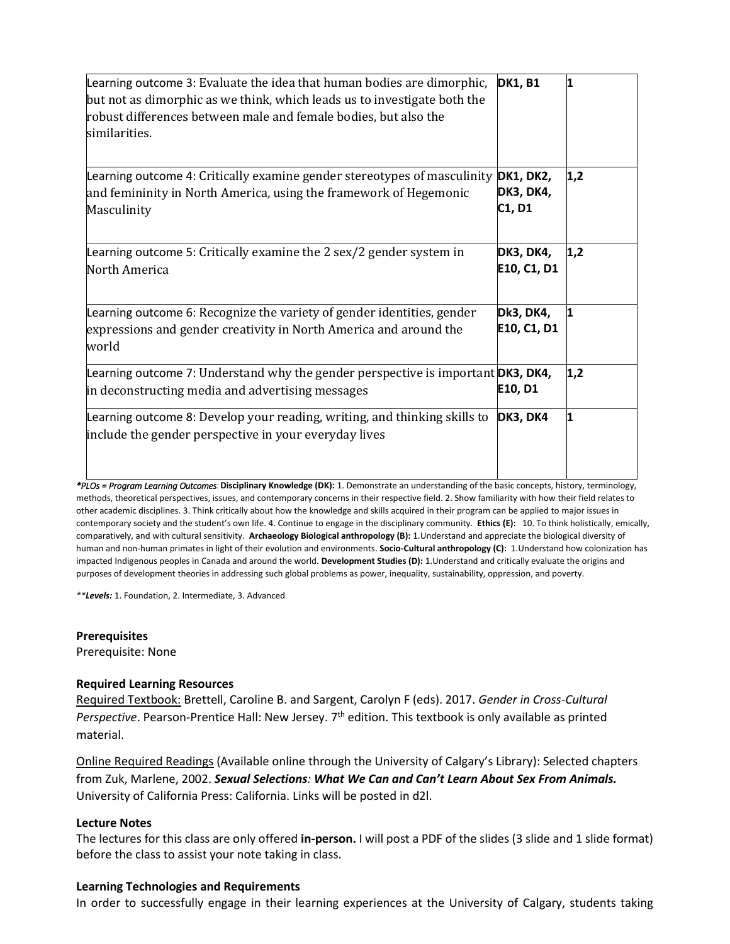| Learning outcome 3: Evaluate the idea that human bodies are dimorphic,<br>but not as dimorphic as we think, which leads us to investigate both the<br>robust differences between male and female bodies, but also the<br>similarities. | <b>DK1, B1</b>                          | 1   |
|----------------------------------------------------------------------------------------------------------------------------------------------------------------------------------------------------------------------------------------|-----------------------------------------|-----|
| Learning outcome 4: Critically examine gender stereotypes of masculinity<br>and femininity in North America, using the framework of Hegemonic<br>Masculinity                                                                           | <b>DK1, DK2,</b><br>DK3, DK4,<br>C1, D1 | 1,2 |
| Learning outcome 5: Critically examine the 2 sex/2 gender system in<br>North America                                                                                                                                                   | DK3, DK4,<br>E10, C1, D1                | 1,2 |
| Learning outcome 6: Recognize the variety of gender identities, gender<br>expressions and gender creativity in North America and around the<br>world                                                                                   | Dk3, DK4,<br>E10, C1, D1                | 11  |
| Learning outcome 7: Understand why the gender perspective is important <b>DK3, DK4,</b><br>in deconstructing media and advertising messages                                                                                            | E10, D1                                 | 1,2 |
| Learning outcome 8: Develop your reading, writing, and thinking skills to<br>include the gender perspective in your everyday lives                                                                                                     | <b>DK3, DK4</b>                         | 1   |

*\*PLOs = Program Learning Outcomes:***Disciplinary Knowledge (DK):** 1. Demonstrate an understanding of the basic concepts, history, terminology, methods, theoretical perspectives, issues, and contemporary concerns in their respective field. 2. Show familiarity with how their field relates to other academic disciplines. 3. Think critically about how the knowledge and skills acquired in their program can be applied to major issues in contemporary society and the student's own life. 4. Continue to engage in the disciplinary community. **Ethics (E):** 10. To think holistically, emically, comparatively, and with cultural sensitivity. **Archaeology Biological anthropology (B):** 1.Understand and appreciate the biological diversity of human and non-human primates in light of their evolution and environments. **Socio-Cultural anthropology (C):** 1.Understand how colonization has impacted Indigenous peoples in Canada and around the world. **Development Studies (D):** 1.Understand and critically evaluate the origins and purposes of development theories in addressing such global problems as power, inequality, sustainability, oppression, and poverty.

*\*\*Levels:* 1. Foundation, 2. Intermediate, 3. Advanced

**Prerequisites**

Prerequisite: None

## **Required Learning Resources**

Required Textbook: Brettell, Caroline B. and Sargent, Carolyn F (eds). 2017. *Gender in Cross-Cultural*  Perspective. Pearson-Prentice Hall: New Jersey. 7<sup>th</sup> edition. This textbook is only available as printed material.

Online Required Readings (Available online through the University of Calgary's Library): Selected chapters from Zuk, Marlene, 2002. *Sexual Selections: What We Can and Can't Learn About Sex From Animals.* University of California Press: California. Links will be posted in d2l.

## **Lecture Notes**

The lectures for this class are only offered **in-person.** I will post a PDF of the slides (3 slide and 1 slide format) before the class to assist your note taking in class.

## **Learning Technologies and Requirements**

In order to successfully engage in their learning experiences at the University of Calgary, students taking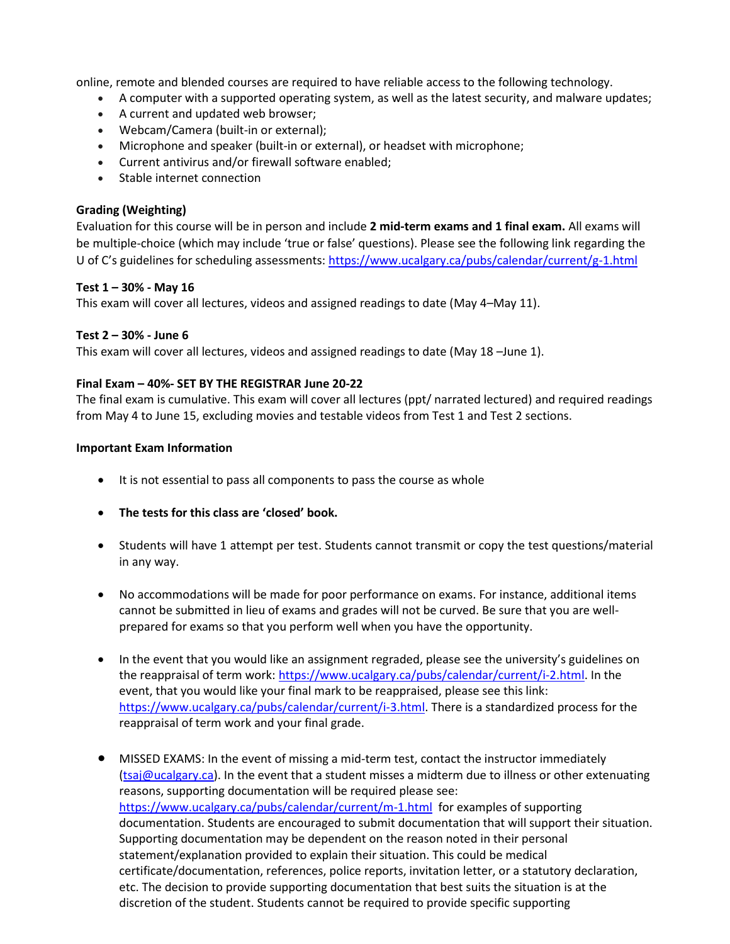online, remote and blended courses are required to have reliable access to the following technology.

- A computer with a supported operating system, as well as the latest security, and malware updates;
- A current and updated web browser;
- Webcam/Camera (built-in or external);
- Microphone and speaker (built-in or external), or headset with microphone;
- Current antivirus and/or firewall software enabled;
- Stable internet connection

# **Grading (Weighting)**

Evaluation for this course will be in person and include **2 mid-term exams and 1 final exam.** All exams will be multiple-choice (which may include 'true or false' questions). Please see the following link regarding the U of C's guidelines for scheduling assessments[: https://www.ucalgary.ca/pubs/calendar/current/g-1.html](https://www.ucalgary.ca/pubs/calendar/current/g-1.html)

## **Test 1 – 30% - May 16**

This exam will cover all lectures, videos and assigned readings to date (May 4–May 11).

## **Test 2 – 30% - June 6**

This exam will cover all lectures, videos and assigned readings to date (May 18 –June 1).

## **Final Exam – 40%- SET BY THE REGISTRAR June 20-22**

The final exam is cumulative. This exam will cover all lectures (ppt/ narrated lectured) and required readings from May 4 to June 15, excluding movies and testable videos from Test 1 and Test 2 sections.

#### **Important Exam Information**

- It is not essential to pass all components to pass the course as whole
- **The tests for this class are 'closed' book.**
- Students will have 1 attempt per test. Students cannot transmit or copy the test questions/material in any way.
- No accommodations will be made for poor performance on exams. For instance, additional items cannot be submitted in lieu of exams and grades will not be curved. Be sure that you are wellprepared for exams so that you perform well when you have the opportunity.
- In the event that you would like an assignment regraded, please see the university's guidelines on the reappraisal of term work[: https://www.ucalgary.ca/pubs/calendar/current/i-2.html.](https://www.ucalgary.ca/pubs/calendar/current/i-2.html) In the event, that you would like your final mark to be reappraised, please see this link: [https://www.ucalgary.ca/pubs/calendar/current/i-3.html.](https://www.ucalgary.ca/pubs/calendar/current/i-3.html) There is a standardized process for the reappraisal of term work and your final grade.
- MISSED EXAMS: In the event of missing a mid-term test, contact the instructor immediately [\(tsaj@ucalgary.ca\)](mailto:tsaj@ucalgary.ca). In the event that a student misses a midterm due to illness or other extenuating reasons, supporting documentation will be required please see: <https://www.ucalgary.ca/pubs/calendar/current/m-1.html>for examples of supporting documentation. Students are encouraged to submit documentation that will support their situation. Supporting documentation may be dependent on the reason noted in their personal statement/explanation provided to explain their situation. This could be medical certificate/documentation, references, police reports, invitation letter, or a statutory declaration, etc. The decision to provide supporting documentation that best suits the situation is at the discretion of the student. Students cannot be required to provide specific supporting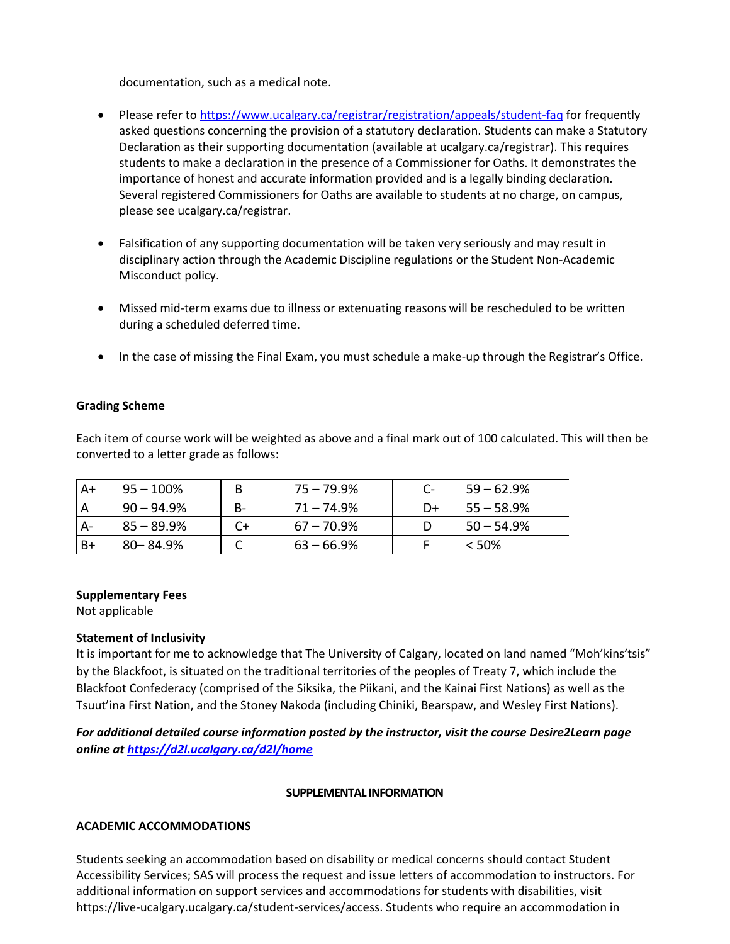documentation, such as a medical note.

- Please refer t[o https://www.ucalgary.ca/registrar/registration/appeals/student-faq](https://www.ucalgary.ca/registrar/registration/appeals/student-faq) for frequently asked questions concerning the provision of a statutory declaration. Students can make a Statutory Declaration as their supporting documentation (available at ucalgary.ca/registrar). This requires students to make a declaration in the presence of a Commissioner for Oaths. It demonstrates the importance of honest and accurate information provided and is a legally binding declaration. Several registered Commissioners for Oaths are available to students at no charge, on campus, please see ucalgary.ca/registrar.
- Falsification of any supporting documentation will be taken very seriously and may result in disciplinary action through the Academic Discipline regulations or the Student Non-Academic Misconduct policy.
- Missed mid-term exams due to illness or extenuating reasons will be rescheduled to be written during a scheduled deferred time.
- In the case of missing the Final Exam, you must schedule a make-up through the Registrar's Office.

## **Grading Scheme**

Each item of course work will be weighted as above and a final mark out of 100 calculated. This will then be converted to a letter grade as follows:

| $A+$ | $95 - 100\%$  | B  | 75 – 79.9%    |    | $59 - 62.9\%$ |
|------|---------------|----|---------------|----|---------------|
|      | $90 - 94.9\%$ | B- | $71 - 74.9\%$ | D+ | 55 – 58.9%    |
|      | $85 - 89.9\%$ |    | 67 – 70.9%    |    | $50 - 54.9\%$ |
| B+   | $80 - 84.9%$  |    | 63 – 66.9%    |    | $<$ 50%       |

#### **Supplementary Fees**

Not applicable

## **Statement of Inclusivity**

It is important for me to acknowledge that The University of Calgary, located on land named "Moh'kins'tsis" by the Blackfoot, is situated on the traditional territories of the peoples of Treaty 7, which include the Blackfoot Confederacy (comprised of the Siksika, the Piikani, and the Kainai First Nations) as well as the Tsuut'ina First Nation, and the Stoney Nakoda (including Chiniki, Bearspaw, and Wesley First Nations).

*For additional detailed course information posted by the instructor, visit the course Desire2Learn page online at<https://d2l.ucalgary.ca/d2l/home>*

#### **SUPPLEMENTAL INFORMATION**

## **ACADEMIC ACCOMMODATIONS**

Students seeking an accommodation based on disability or medical concerns should contact Student Accessibility Services; SAS will process the request and issue letters of accommodation to instructors. For additional information on support services and accommodations for students with disabilities, visit https://live-ucalgary.ucalgary.ca/student-services/access. Students who require an accommodation in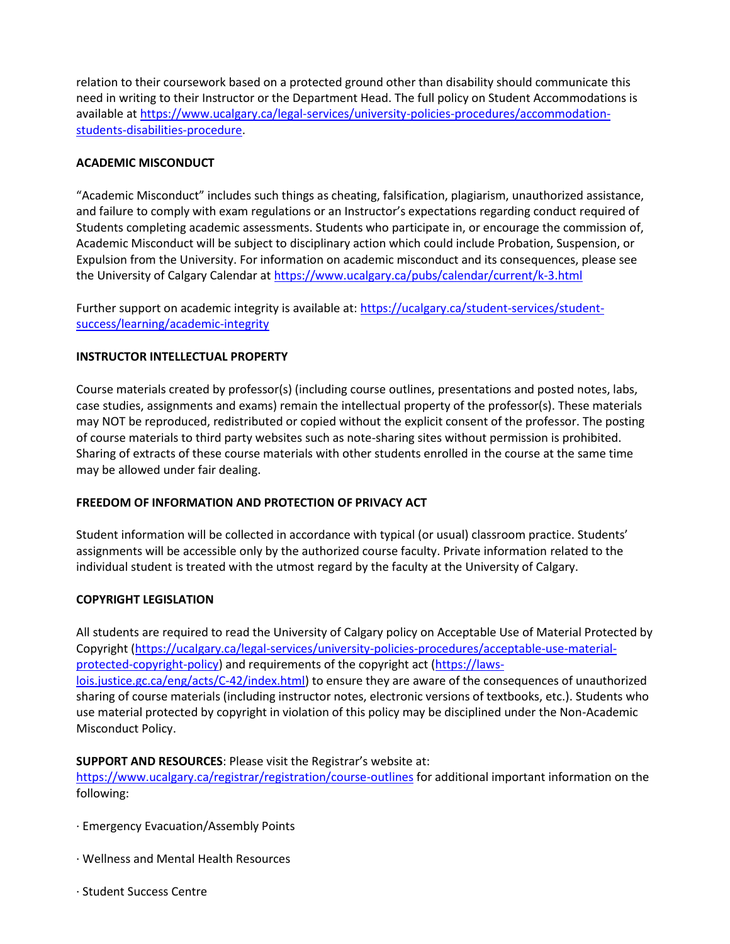relation to their coursework based on a protected ground other than disability should communicate this need in writing to their Instructor or the Department Head. The full policy on Student Accommodations is available a[t https://www.ucalgary.ca/legal-services/university-policies-procedures/accommodation](https://www.ucalgary.ca/legal-services/university-policies-procedures/accommodation-students-disabilities-procedure)[students-disabilities-procedure.](https://www.ucalgary.ca/legal-services/university-policies-procedures/accommodation-students-disabilities-procedure)

# **ACADEMIC MISCONDUCT**

"Academic Misconduct" includes such things as cheating, falsification, plagiarism, unauthorized assistance, and failure to comply with exam regulations or an Instructor's expectations regarding conduct required of Students completing academic assessments. Students who participate in, or encourage the commission of, Academic Misconduct will be subject to disciplinary action which could include Probation, Suspension, or Expulsion from the University. For information on academic misconduct and its consequences, please see the University of Calgary Calendar at<https://www.ucalgary.ca/pubs/calendar/current/k-3.html>

Further support on academic integrity is available at: [https://ucalgary.ca/student-services/student](https://ucalgary.ca/student-services/student-success/learning/academic-integrity)[success/learning/academic-integrity](https://ucalgary.ca/student-services/student-success/learning/academic-integrity)

## **INSTRUCTOR INTELLECTUAL PROPERTY**

Course materials created by professor(s) (including course outlines, presentations and posted notes, labs, case studies, assignments and exams) remain the intellectual property of the professor(s). These materials may NOT be reproduced, redistributed or copied without the explicit consent of the professor. The posting of course materials to third party websites such as note-sharing sites without permission is prohibited. Sharing of extracts of these course materials with other students enrolled in the course at the same time may be allowed under fair dealing.

## **FREEDOM OF INFORMATION AND PROTECTION OF PRIVACY ACT**

Student information will be collected in accordance with typical (or usual) classroom practice. Students' assignments will be accessible only by the authorized course faculty. Private information related to the individual student is treated with the utmost regard by the faculty at the University of Calgary.

## **COPYRIGHT LEGISLATION**

All students are required to read the University of Calgary policy on Acceptable Use of Material Protected by Copyright [\(https://ucalgary.ca/legal-services/university-policies-procedures/acceptable-use-material](https://ucalgary.ca/legal-services/university-policies-procedures/acceptable-use-material-protected-copyright-policy)[protected-copyright-policy\)](https://ucalgary.ca/legal-services/university-policies-procedures/acceptable-use-material-protected-copyright-policy) and requirements of the copyright act [\(https://laws](https://laws-lois.justice.gc.ca/eng/acts/C-42/index.html)[lois.justice.gc.ca/eng/acts/C-42/index.html\)](https://laws-lois.justice.gc.ca/eng/acts/C-42/index.html) to ensure they are aware of the consequences of unauthorized sharing of course materials (including instructor notes, electronic versions of textbooks, etc.). Students who use material protected by copyright in violation of this policy may be disciplined under the Non-Academic Misconduct Policy.

## **SUPPORT AND RESOURCES**: Please visit the Registrar's website at:

<https://www.ucalgary.ca/registrar/registration/course-outlines> for additional important information on the following:

- · Emergency Evacuation/Assembly Points
- · Wellness and Mental Health Resources
- · Student Success Centre